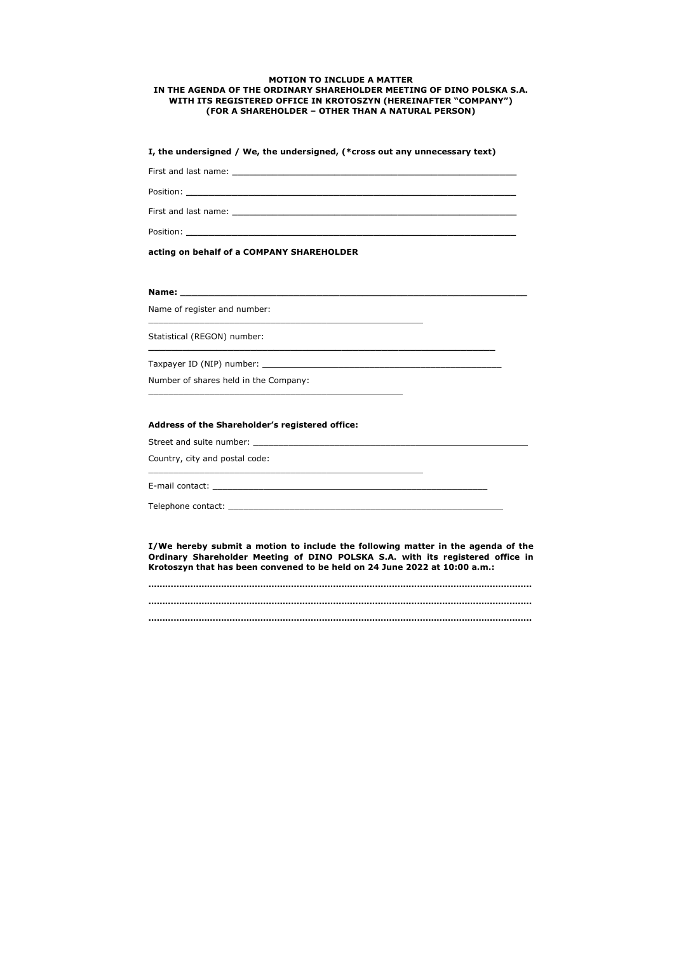## **MOTION TO INCLUDE A MATTER IN THE AGENDA OF THE ORDINARY SHAREHOLDER MEETING OF DINO POLSKA S.A. WITH ITS REGISTERED OFFICE IN KROTOSZYN (HEREINAFTER "COMPANY") (FOR A SHAREHOLDER – OTHER THAN A NATURAL PERSON)**

**I, the undersigned / We, the undersigned, (\*cross out any unnecessary text)** 

First and last name: **\_\_\_\_\_\_\_\_\_\_\_\_\_\_\_\_\_\_\_\_\_\_\_\_\_\_\_\_\_\_\_\_\_\_\_\_\_\_\_\_\_\_\_\_\_\_\_\_\_\_** 

Position: **\_\_\_\_\_\_\_\_\_\_\_\_\_\_\_\_\_\_\_\_\_\_\_\_\_\_\_\_\_\_\_\_\_\_\_\_\_\_\_\_\_\_\_\_\_\_\_\_\_\_\_\_\_\_\_\_\_\_** 

First and last name: **\_\_\_\_\_\_\_\_\_\_\_\_\_\_\_\_\_\_\_\_\_\_\_\_\_\_\_\_\_\_\_\_\_\_\_\_\_\_\_\_\_\_\_\_\_\_\_\_\_\_** 

Position: **\_\_\_\_\_\_\_\_\_\_\_\_\_\_\_\_\_\_\_\_\_\_\_\_\_\_\_\_\_\_\_\_\_\_\_\_\_\_\_\_\_\_\_\_\_\_\_\_\_\_\_\_\_\_\_\_\_\_** 

**acting on behalf of a COMPANY SHAREHOLDER** 

**Name: \_\_\_\_\_\_\_\_\_\_\_\_\_\_\_\_\_\_\_\_\_\_\_\_\_\_\_\_\_\_\_\_\_\_\_\_\_\_\_\_\_\_\_\_\_\_\_\_\_\_\_\_\_\_\_\_\_\_\_\_\_**

Name of register and number:

\_\_\_\_\_\_\_\_\_\_\_\_\_\_\_\_\_\_\_\_\_\_\_\_\_\_\_\_\_\_\_\_\_\_\_\_\_\_\_\_\_\_\_\_\_\_\_\_\_\_\_\_\_\_

Statistical (REGON) number:

**\_\_\_\_\_\_\_\_\_\_\_\_\_\_\_\_\_\_\_\_\_\_\_\_\_\_\_\_\_\_\_\_\_\_\_\_\_\_\_\_\_\_\_\_\_\_\_\_\_\_\_\_\_\_\_\_\_\_\_\_\_**

Taxpayer ID (NIP) number: \_\_\_\_\_\_\_\_\_\_\_\_\_\_\_\_\_\_\_\_\_\_\_\_\_\_\_\_\_\_\_\_\_\_\_\_\_\_\_\_\_\_\_\_\_\_\_

Number of shares held in the Company:

\_\_\_\_\_\_\_\_\_\_\_\_\_\_\_\_\_\_\_\_\_\_\_\_\_\_\_\_\_\_\_\_\_\_\_\_\_\_\_\_\_\_\_\_\_\_\_\_\_\_

## **Address of the Shareholder's registered office:**

Street and suite number:

Country, city and postal code:

\_\_\_\_\_\_\_\_\_\_\_\_\_\_\_\_\_\_\_\_\_\_\_\_\_\_\_\_\_\_\_\_\_\_\_\_\_\_\_\_\_\_\_\_\_\_\_\_\_\_\_\_\_\_

E-mail contact: \_\_\_\_\_\_\_\_\_\_\_\_\_\_\_\_\_\_\_\_\_\_\_\_\_\_\_\_\_\_\_\_\_\_\_\_\_\_\_\_\_\_\_\_\_\_\_\_\_\_\_\_\_\_

Telephone contact: \_\_\_\_\_\_\_\_\_\_\_\_\_\_\_\_\_\_\_\_\_\_\_\_\_\_\_\_\_\_\_\_\_\_\_\_\_\_\_\_\_\_\_\_\_\_\_\_\_\_\_\_\_\_

**I/We hereby submit a motion to include the following matter in the agenda of the Ordinary Shareholder Meeting of DINO POLSKA S.A. with its registered office in Krotoszyn that has been convened to be held on 24 June 2022 at 10:00 a.m.:**

**……………………………………………………………………………………………………………………….. ………………………………………………………………………………………………………………….……. ………………………………………………………………………………………………………………………..**